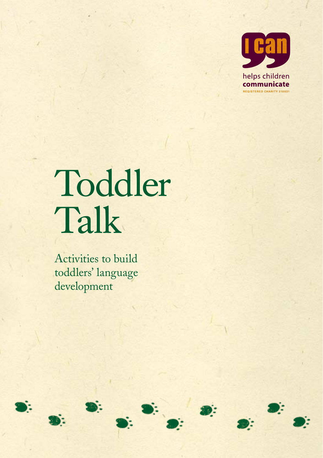

# Toddler Talk

Activities to build toddlers' language development



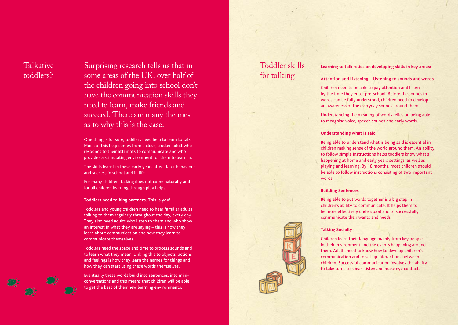### **Talkative** toddlers?

Surprising research tells us that in some areas of the UK, over half of the children going into school don't have the communication skills they need to learn, make friends and succeed. There are many theories as to why this is the case.

One thing is for sure, toddlers need help to learn to talk. Much of this help comes from a close, trusted adult who responds to their attempts to communicate and who provides a stimulating environment for them to learn in.

The skills learnt in these early years affect later behaviour and success in school and in life.

For many children, talking does not come naturally and for all children learning through play helps.

#### **Toddlers need talking partners. This is you!**

Toddlers and young children need to hear familiar adults talking to them regularly throughout the day, every day. They also need adults who listen to them and who show an interest in what they are saying – this is how they learn about communication and how they learn to communicate themselves.

Toddlers need the space and time to process sounds and to learn what they mean. Linking this to objects, actions and feelings is how they learn the names for things and how they can start using these words themselves.

Eventually these words build into sentences, into miniconversations and this means that children will be able to get the best of their new learning environments.

## Toddler skills for talking

#### **Learning to talk relies on developing skills in key areas:**

#### **Attention and Listening – Listening to sounds and words**

Children need to be able to pay attention and listen by the time they enter pre-school. Before the sounds in words can be fully understood, children need to develop an awareness of the everyday sounds around them.

Understanding the meaning of words relies on being able to recognise voice, speech sounds and early words.

#### **Understanding what is said**

Being able to understand what is being said is essential in children making sense of the world around them. An ability to follow simple instructions helps toddlers know what's happening at home and early years settings, as well as playing and learning. By 18 months, most children should be able to follow instructions consisting of two important words.

#### **Building Sentences**

Being able to put words together is a big step in children's ability to communicate. It helps them to be more effectively understood and to successfully communicate their wants and needs.

#### **Talking Socially**

Children learn their language mainly from key people in their environment and the events happening around them. Adults need to know how to develop children's communication and to set up interactions between children. Successful communication involves the ability to take turns to speak, listen and make eye contact.



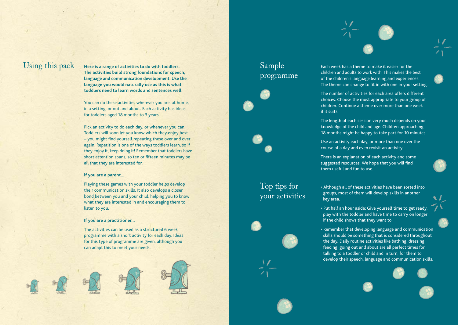

 $\mathrm{Using~this~pack}$  a Here is a range of activities to do with toddlers. Sample **The activities build strong foundations for speech, language and communication development. Use the language you would naturally use as this is what toddlers need to learn words and sentences well.**

> You can do these activities wherever you are, at home, in a setting, or out and about. Each activity has ideas for toddlers aged 18 months to 3 years.

Pick an activity to do each day, or whenever you can. Toddlers will soon let you know which they enjoy best – you might find yourself repeating these over and over again. Repetition is one of the ways toddlers learn, so if they enjoy it, keep doing it! Remember that toddlers have short attention spans, so ten or fifteen minutes may be all that they are interested for.

#### **If you are a parent…**

Playing these games with your toddler helps develop their communication skills. It also develops a closer bond between you and your child, helping you to know what they are interested in and encouraging them to listen to you.

#### **If you are a practitioner…**

The activities can be used as a structured 6 week programme with a short activity for each day. Ideas for this type of programme are given, although you can adapt this to meet your needs.



# programme





Each week has a theme to make it easier for the children and adults to work with. This makes the best of the children's language learning and experiences. The theme can change to fit in with one in your setting.

The number of activities for each area offers different choices. Choose the most appropriate to your group of children. Continue a theme over more than one week if it suits.

The length of each session very much depends on your knowledge of the child and age. Children approaching 18 months might be happy to take part for 10 minutes.

Use an activity each day, or more than one over the course of a day and even revisit an activity.

There is an explanation of each activity and some suggested resources. We hope that you will find them useful and fun to use.

### Top tips for your activities



• Although all of these activities have been sorted into groups, most of them will develop skills in another key area.

- Put half an hour aside: Give yourself time to get ready, play with the toddler and have time to carry on longer if the child shows that they want to.
- Remember that developing language and communication skills should be something that is considered throughout the day. Daily routine activities like bathing, dressing, feeding, going out and about are all perfect times for talking to a toddler or child and in turn, for them to develop their speech, language and communication skills.

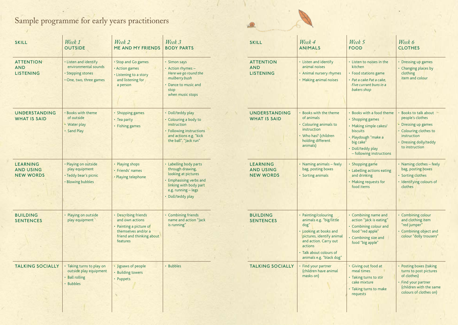# Sample programme for early years practitioners



| <b>SKILL</b><br><b>ATTENTION</b><br><b>AND</b><br><b>LISTENING</b> | Week 1<br><b>OUTSIDE</b><br>· Listen and identify<br>environmental sounds<br>· Stepping stones<br>· One, two, three games | Week 2<br><b>ME AND MY FRIENDS</b><br>• Stop and Go games<br>· Action games<br>• Listening to a story<br>and listening for<br>a person | Week 3<br><b>BODY PARTS</b><br>· Simon says<br>• Action rhymes -<br>Here we go round the<br>mulberry bush<br>• Dance to music and<br>stop<br>when music stops      |
|--------------------------------------------------------------------|---------------------------------------------------------------------------------------------------------------------------|----------------------------------------------------------------------------------------------------------------------------------------|--------------------------------------------------------------------------------------------------------------------------------------------------------------------|
| <b>UNDERSTANDING</b><br><b>WHAT IS SAID</b>                        | . Books with theme<br>of outside<br>• Water play<br>· Sand Play                                                           | · Shopping games<br>• Tea party<br>• Fishing games                                                                                     | · Doll/teddy play<br>• Colouring a body to<br>instruction<br>• Following instructions<br>and actions e.g. "kick<br>the ball", "Jack run"                           |
| LEARNING<br><b>AND USING</b><br><b>NEW WORDS</b>                   | · Playing on outside<br>play equipment<br>· Teddy bear's picnic<br>· Blowing bubbles                                      | • Playing shops<br>· Friends' names<br>• Playing telephone                                                                             | • Labelling body parts<br>through drawing,<br>looking at pictures<br>• Emphasising verbs and<br>linking with body part<br>e.g. running - legs<br>· Doll/teddy play |
| <b>BUILDING</b><br><b>SENTENCES</b>                                | · Playing on outside<br>play equipment                                                                                    | • Describing friends<br>and own actions<br>• Painting a picture of<br>themselves and/or a<br>friend and thinking about<br>features     | • Combining friends<br>name and action "Jack<br>is running"                                                                                                        |
| <b>TALKING SOCIALLY</b>                                            | • Taking turns to play on<br>outside play equipment<br>• Ball rolling<br>· Bubbles                                        | · Jigsaws of people<br>• Building towers<br>• Puppets                                                                                  | · Bubbles                                                                                                                                                          |

| <b>SKILL</b>                                            | Week 4<br><b>ANIMALS</b>                                                                                                                                                                                   | Week 5<br><b>FOOD</b>                                                                                                                                                           | Week 6<br><b>CLOTHES</b>                                                                                                                              |
|---------------------------------------------------------|------------------------------------------------------------------------------------------------------------------------------------------------------------------------------------------------------------|---------------------------------------------------------------------------------------------------------------------------------------------------------------------------------|-------------------------------------------------------------------------------------------------------------------------------------------------------|
| <b>ATTENTION</b><br><b>AND</b><br><b>LISTENING</b>      | • Listen and identify<br>animal noises<br>• Animal nursery rhymes<br>• Making animal noises                                                                                                                | • Listen to noises in the<br>kitchen<br>• Food stations game<br>· Pat a cake Pat a cake.<br>Five currant buns in a<br>bakers shop                                               | • Dressing up games<br>• Changing places by<br>clothing<br>item and colour                                                                            |
| UNDERSTANDING<br><b>WHAT IS SAID</b>                    | • Books with the theme<br>of animals<br>• Colouring animals to<br>instruction<br>• Who has? (children<br>holding different<br>animals)                                                                     | • Books with a food theme<br>• Shopping games<br>• Making simple cakes/<br><b>biscuits</b><br>· Playdough "make a<br>big cake"<br>· Doll/teddy play<br>- following instructions | • Books to talk about<br>people's clothes<br>• Dressing up games<br>• Colouring clothes to<br>instruction<br>• Dressing dolly/teddy<br>to instruction |
| <b>LEARNING</b><br><b>AND USING</b><br><b>NEW WORDS</b> | • Naming animals - feely<br>bag, posting boxes<br>· Sorting animals                                                                                                                                        | • Shopping game<br>• Labelling actions eating<br>and drinking<br>• Making requests for<br>food items                                                                            | • Naming clothes - feely<br>bag, posting boxes<br>· Sorting clothes<br>· Identifying colours of<br>clothes                                            |
| <b>BUILDING</b><br><b>SENTENCES</b>                     | • Painting/colouring<br>animals e.g. "big/little<br>dog"<br>• Looking at books and<br>pictures, identify animal<br>and action. Carry out<br>actions<br>· Talk about colours of<br>animals e.g. "black dog" | • Combining name and<br>action "Jack is eating"<br>• Combining colour and<br>food "red apple"<br>• Combining size and<br>food "big apple"                                       | • Combining colour<br>and clothing item<br>"red jumper"<br>• Combining object and<br>colour "dolly trousers"                                          |
| <b>TALKING SOCIALLY</b>                                 | · Find your partner<br>(children have animal<br>masks on)                                                                                                                                                  | · Giving out food at<br>meal times<br>• Taking turns to stir<br>cake mixture<br>• Taking turns to make<br>requests                                                              | • Posting boxes (taking<br>turns to post pictures<br>of clothes)<br>· Find your partner<br>(children with the same<br>colours of clothes on)          |